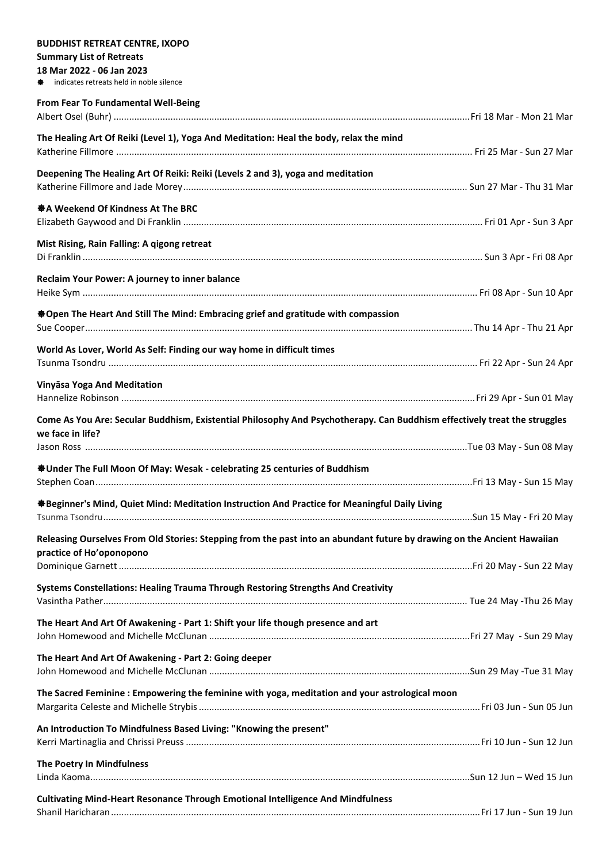| <b>BUDDHIST RETREAT CENTRE, IXOPO</b>                                                                                     |  |
|---------------------------------------------------------------------------------------------------------------------------|--|
| <b>Summary List of Retreats</b>                                                                                           |  |
| 18 Mar 2022 - 06 Jan 2023                                                                                                 |  |
| indicates retreats held in noble silence                                                                                  |  |
| From Fear To Fundamental Well-Being                                                                                       |  |
|                                                                                                                           |  |
| The Healing Art Of Reiki (Level 1), Yoga And Meditation: Heal the body, relax the mind                                    |  |
|                                                                                                                           |  |
|                                                                                                                           |  |
| Deepening The Healing Art Of Reiki: Reiki (Levels 2 and 3), yoga and meditation                                           |  |
|                                                                                                                           |  |
| ※ A Weekend Of Kindness At The BRC                                                                                        |  |
|                                                                                                                           |  |
|                                                                                                                           |  |
| Mist Rising, Rain Falling: A qigong retreat                                                                               |  |
|                                                                                                                           |  |
| Reclaim Your Power: A journey to inner balance                                                                            |  |
|                                                                                                                           |  |
|                                                                                                                           |  |
| <b>*Open The Heart And Still The Mind: Embracing grief and gratitude with compassion</b>                                  |  |
|                                                                                                                           |  |
| World As Lover, World As Self: Finding our way home in difficult times                                                    |  |
|                                                                                                                           |  |
|                                                                                                                           |  |
| Vinyāsa Yoga And Meditation                                                                                               |  |
|                                                                                                                           |  |
| Come As You Are: Secular Buddhism, Existential Philosophy And Psychotherapy. Can Buddhism effectively treat the struggles |  |
| we face in life?                                                                                                          |  |
|                                                                                                                           |  |
|                                                                                                                           |  |
| <b><math>\clubsuit</math> Under The Full Moon Of May: Wesak - celebrating 25 centuries of Buddhism</b>                    |  |
|                                                                                                                           |  |
| ※ Beginner's Mind, Quiet Mind: Meditation Instruction And Practice for Meaningful Daily Living                            |  |
|                                                                                                                           |  |
|                                                                                                                           |  |
| Releasing Ourselves From Old Stories: Stepping from the past into an abundant future by drawing on the Ancient Hawaiian   |  |
| practice of Ho'oponopono                                                                                                  |  |
|                                                                                                                           |  |
| Systems Constellations: Healing Trauma Through Restoring Strengths And Creativity                                         |  |
|                                                                                                                           |  |
|                                                                                                                           |  |
| The Heart And Art Of Awakening - Part 1: Shift your life though presence and art                                          |  |
|                                                                                                                           |  |
| The Heart And Art Of Awakening - Part 2: Going deeper                                                                     |  |
|                                                                                                                           |  |
| The Sacred Feminine: Empowering the feminine with yoga, meditation and your astrological moon                             |  |
|                                                                                                                           |  |
|                                                                                                                           |  |
| An Introduction To Mindfulness Based Living: "Knowing the present"                                                        |  |
|                                                                                                                           |  |
| The Poetry In Mindfulness                                                                                                 |  |
|                                                                                                                           |  |
|                                                                                                                           |  |
| <b>Cultivating Mind-Heart Resonance Through Emotional Intelligence And Mindfulness</b>                                    |  |
|                                                                                                                           |  |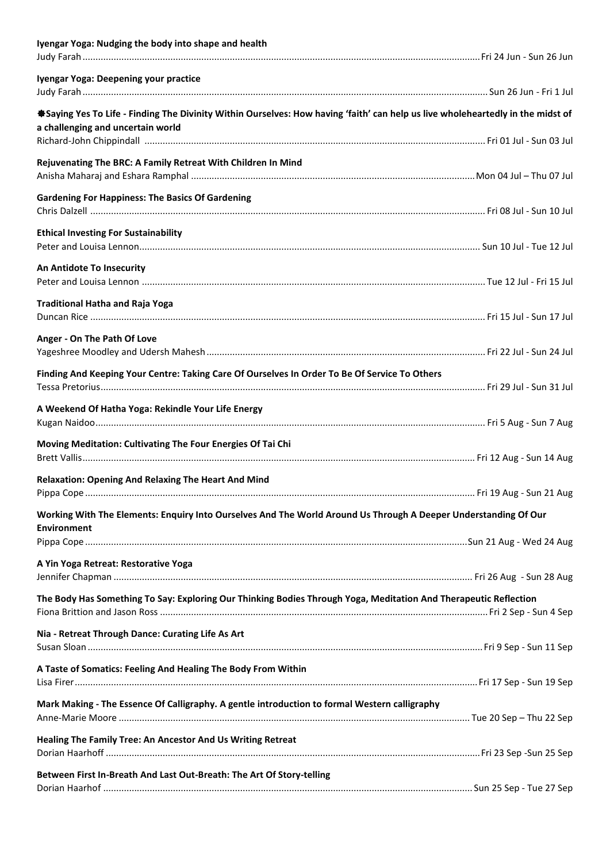| Iyengar Yoga: Nudging the body into shape and health                                                                                                                 |  |
|----------------------------------------------------------------------------------------------------------------------------------------------------------------------|--|
| Iyengar Yoga: Deepening your practice                                                                                                                                |  |
|                                                                                                                                                                      |  |
| *Saying Yes To Life - Finding The Divinity Within Ourselves: How having 'faith' can help us live wholeheartedly in the midst of<br>a challenging and uncertain world |  |
|                                                                                                                                                                      |  |
| Rejuvenating The BRC: A Family Retreat With Children In Mind                                                                                                         |  |
|                                                                                                                                                                      |  |
| <b>Gardening For Happiness: The Basics Of Gardening</b>                                                                                                              |  |
| <b>Ethical Investing For Sustainability</b>                                                                                                                          |  |
|                                                                                                                                                                      |  |
| An Antidote To Insecurity                                                                                                                                            |  |
|                                                                                                                                                                      |  |
| <b>Traditional Hatha and Raja Yoga</b>                                                                                                                               |  |
|                                                                                                                                                                      |  |
| Anger - On The Path Of Love                                                                                                                                          |  |
|                                                                                                                                                                      |  |
| Finding And Keeping Your Centre: Taking Care Of Ourselves In Order To Be Of Service To Others                                                                        |  |
|                                                                                                                                                                      |  |
| A Weekend Of Hatha Yoga: Rekindle Your Life Energy                                                                                                                   |  |
| Moving Meditation: Cultivating The Four Energies Of Tai Chi                                                                                                          |  |
|                                                                                                                                                                      |  |
| <b>Relaxation: Opening And Relaxing The Heart And Mind</b>                                                                                                           |  |
|                                                                                                                                                                      |  |
| Working With The Elements: Enquiry Into Ourselves And The World Around Us Through A Deeper Understanding Of Our                                                      |  |
| <b>Environment</b>                                                                                                                                                   |  |
|                                                                                                                                                                      |  |
| A Yin Yoga Retreat: Restorative Yoga                                                                                                                                 |  |
| The Body Has Something To Say: Exploring Our Thinking Bodies Through Yoga, Meditation And Therapeutic Reflection                                                     |  |
|                                                                                                                                                                      |  |
| Nia - Retreat Through Dance: Curating Life As Art                                                                                                                    |  |
|                                                                                                                                                                      |  |
| A Taste of Somatics: Feeling And Healing The Body From Within                                                                                                        |  |
|                                                                                                                                                                      |  |
| Mark Making - The Essence Of Calligraphy. A gentle introduction to formal Western calligraphy                                                                        |  |
|                                                                                                                                                                      |  |
| Healing The Family Tree: An Ancestor And Us Writing Retreat                                                                                                          |  |
|                                                                                                                                                                      |  |
| Between First In-Breath And Last Out-Breath: The Art Of Story-telling                                                                                                |  |
|                                                                                                                                                                      |  |